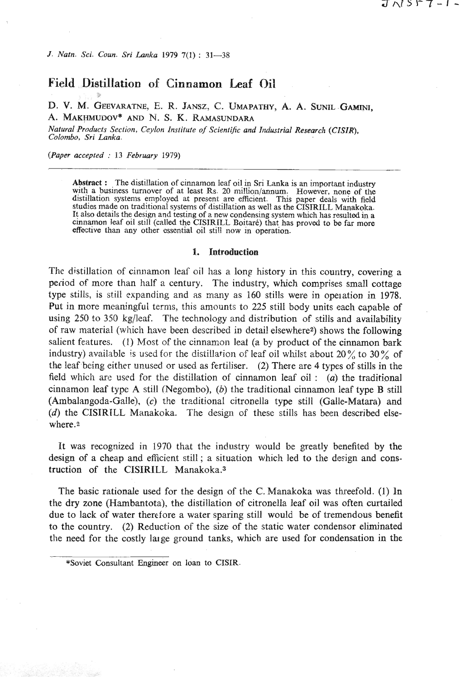*J. Natn.* **Sci.** *Coun. Sri Larlka 1979* **7(1\$** : **31-38** 

## **Field Distillation of Cinnamon Lead** Oil

D. V. M. **GEEVARATNE,** E. R. **JANSZ,** *G.* UMAPATHY, **A. A.** SUNIL GAMINI, **A. MAKWUUOV\*** AND N. S. **K. RAMASUNDARA** 

*Natural Products Section, Ceylon Institute of Scientific and Industrial Research (CISIR), Colombo, Sri Lanka.* 

*(Paper accepted* : *13 February 1979)* 

**Abstract :** The distillation of cinnamon leaf oil in Sri Lanka is an important industry with a business turnover of at least Rs. 20 million/annum. However, none of the distillation systems employed at present are efficient. This paper deals with field studies made on traditional systems of distillation as well as the CISIRILL Manakoka. It also details the design and testing of a new condensing system which has resulted in a cinnamon leaf oil still (called the CISIRILL Boitaré) that has proved to be far more effective than any other essential oil still no

#### **1. Introduction**

The distillation of cinnamon leaf oil has a long history in this country, covering a period of more than half a century. The industry, which comprises small cottage type stills, is still expanding and as many as 160 stills were in operation in 1978. Put in more meaningful terms, this amounts to *225* still body units each capable of using 250 to 350 kglleaf. Thc technology and distribution of stills and availability of raw material (which have been described in detai! elsewherez) shows the following salient features. (1) Most of the cinnamon leaf (a by product of the cinnamon bark industry) available is used for the distillation of leaf oil whilst about  $20\%$  to  $30\%$  of the leaf being either unused or used as fertiliser. (2) There are 4 types of stills in the field which are used for the distillation of cinnamon leaf oil : (a) the traditional cinnamon leaf type A still (Wegombo), *(b)* the traditional cinnamon leaf type B still (Ambalangoda-Galle), (c) the trzditional citronella type still (Galle-Matara) and  $(d)$  the CISIRILL Manakoka. The design of these stills has been described elsewhere.2

It was recognized in 1970 that the industry would be greatly benefited by the design of a cheap and efficient still; a situation which led to the design and construction of the CISIRILL Manakoka.3

The basic rationale used for the design of the C. Manakoka was threefold. (I) In the dry zone (Hambantota), the distillation of citronella leaf oil was often curtailed due to lack of water therefore a water sparing still would be of tremendous benefit to the country. *(2)* Reduction of the size of the static water condensor eliminated the need for the costly lalge ground tanks, which are used for condensation in the

**<sup>\*</sup>Soviet consultant Engineer on loan to CISIR.**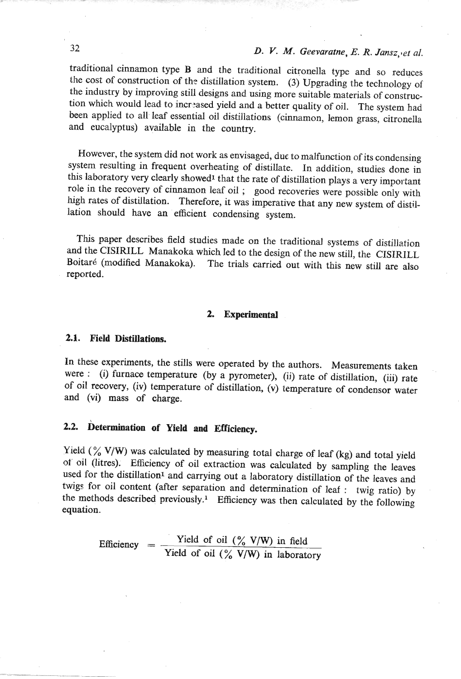traditional cinnamon type B and the traditional citronella type and so reduces the cost of construction of the distillation system. (3) Upgrading the technology of the industry by improving still designs and using more suitable materials of construction which would lead to increased yield and a better quality of oil. The system had been applied to all leaf essential oil distillations (cinnamon, lemon grass, citronella and eucalyptus) available in the country.

However, the system did not work as envisaged, due to malfunction of its condensing system resulting in frequent overheating of distillate. In addition, studies done in this laboratory very clearly showed<sup>1</sup> that the rate of distillation plays a very important role in the recovery of cinnamon leaf oil ; good recoveries were possible only with high rates of distillation. Therefore, it was imperative that any new system of distillation should have an efficient condensing system.

This paper describes field studies made on the traditional systems of distillation and the CISIRILL Manakoka which led to the design of the new still, the CISIRILL Boitaré (modified Manakoka). The trials carried out with this new still are also reported.

#### **2. Experimental**

#### **2.1. Field Distillations.**

In these experiments, the stills were operated by the authors. Measurements taken were : (i) furnace temperature (by a pyrometer), (ii) rate of distillation, (iii) rate of oil recovery, (iv) temperature of distillation, (v) temperature of condensor water and (vi) mass of charge.

# **2.2. hetermination of Yield and Efficiency.**

Yield (% V/W) was calculated by measuring total charge of leaf (kg) and total yield of oil (litres); Efficiency of oil extraction was calculated by sampling the leaves used for the distillation<sup>1</sup> and carrying out a laboratory distillation of the leaves and twigs for oil content (after separation and determination of leaf : twig ratio) by the methods described previously.<sup>1</sup> Efficiency was then calculated by the following equation.

> Efficiency  $=$  Yield of oil  $\left(\frac{\%}{\%} V/W\right)$  in field Yield of **oil** (% **V/W)** in laboratory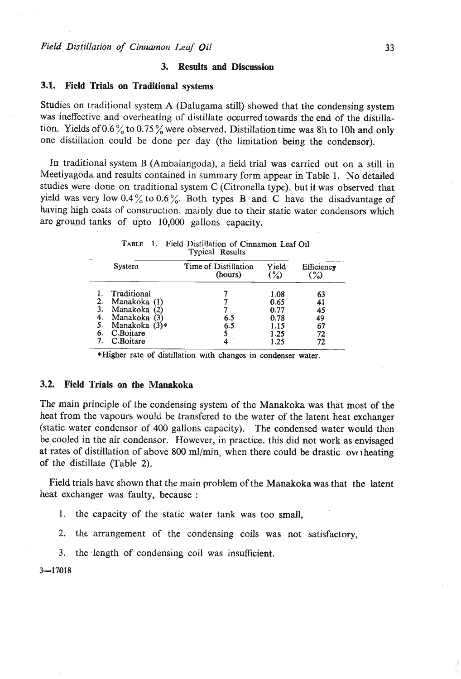## **3. Results and Discussion**

## **3.1. Field Trials on Traditional systems**

Studies on traditional system A (Dalugama still) showed that the condensing system was ineffective and overheating of distillate occurred towards the end of the distillation. Yields of  $0.6\%$  to  $0.75\%$  were observed. Distillation time was 8h to 10h and only one distillation could be done per day (the limitation being the condensor).

In traditional system B (Ambalangoda), a field trial was carried out on a still in Meetiyagoda and results contained in summary form appear in Table 1. No detailed studies were done on traditional system C (Citronella type), but it was observed that yield was very low  $0.4\%$  to  $0.6\%$ . Both types B and C have the disadvantage of having high costs of construction, mainly due to their static water condensors which are grownd tanks of upto 10,000 gallons capacity.

| TABLE 1. | Field Distillation of Cinnamon Leaf Oil |
|----------|-----------------------------------------|
|          | <b>Typical Results</b>                  |

| <b>System</b>                                                                                                                     | Time of Distillation | Yield                                                | Efficiency                             |
|-----------------------------------------------------------------------------------------------------------------------------------|----------------------|------------------------------------------------------|----------------------------------------|
|                                                                                                                                   | (hours)              | $\mathscr{C}$                                        | $\binom{9}{2}$                         |
| Traditional<br>2.<br>Manakoka (1)<br>3.<br>Manakoka (2)<br>Manakoka (3)<br>-4.<br>Manakoka $(3)*$<br>C.Boitare<br>6.<br>C.Boitare | 6.5<br>6.5           | 1.08<br>0.65<br>0.77<br>0.78<br>1.15<br>1.25<br>1.25 | 63<br>41<br>45<br>49<br>67<br>72<br>72 |

\*Higher rate of distillation with changes in condenser **water.** 

## **3.2. Field Trials on the Manakoka**

The main principle of the condensing system of the Manakoka was that most of the heat from the vapours would be transfered to the water of the latent heat exchanger (static water condensor of 400 gallons capacity). The condensed water would then be-cooled in the air condensor. However, in practice, this did not work as envisaged at rates of distillation of above 800 ml/min, when there could be drastic overheating of the distillate (Table 2).

Field trials have shown that the main problem of the Manakoka was that the latent heat exchanger was faulty, because :

I. the capacity of the static water tank was too small,

2. the arrangement of the condensing coils was not satisfactory,

3. the length of condensing coil was insufficient.

**3-17018**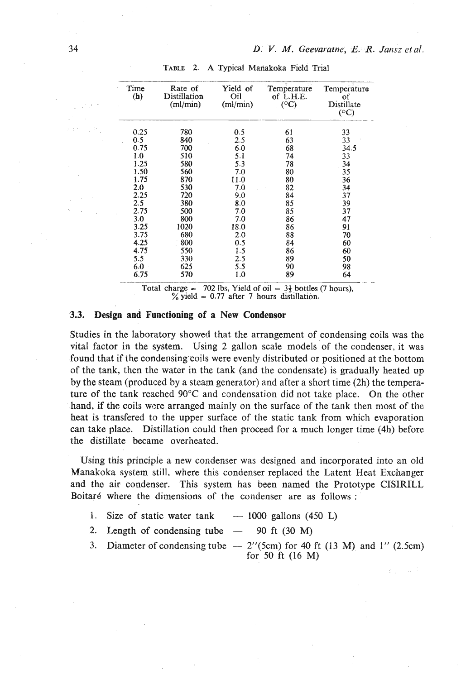| Time<br>(h) | Rate of<br>Distillation<br>(ml/min) | Yield of<br>Oil<br>(ml/min) | Temperature<br>of L.H.E.<br>$(^{\circ}C)$ | Temperature<br>of<br>Distillate<br>$({}^{\circ}C)$ |
|-------------|-------------------------------------|-----------------------------|-------------------------------------------|----------------------------------------------------|
| 0.25        | 780                                 | 0.5                         | 61                                        | 33                                                 |
| 0.5         | 840                                 | 2.5                         | 63                                        | 33                                                 |
| 0.75        | 700                                 | 6.0                         | 68                                        | 34.5                                               |
| 1.0         | 510                                 | 5.1                         | 74                                        | 33                                                 |
| 1.25        | 580                                 | 5.3                         | 78                                        | 34                                                 |
| 1.50        | 560                                 | 7.0                         | 80                                        | 35                                                 |
| 1.75        | 870                                 | 11.0                        | 80                                        | 36                                                 |
| 2.0         | 530                                 | 7.0                         | 82                                        | 34                                                 |
| 2.25        | 720                                 | 9.0                         | 84                                        | 37                                                 |
| 2.5         | 380                                 | 8.0                         | 85                                        | 39                                                 |
| 2.75        | 500                                 | 7.0                         | 85                                        | 37                                                 |
| 3.0         | 800                                 | 7.0                         | 86                                        | 47                                                 |
| 3.25        | 1020                                | 18.0                        | 86                                        | 91                                                 |
| 3.75        | 680                                 | 2.0                         | 88                                        | 70                                                 |
| 4.25        | 800                                 | 0.5                         | 84                                        | 60                                                 |
| 4.75        | 550                                 | 1.5                         | 86                                        | 60                                                 |
| 5.5         | 330                                 | 2.5                         | 89                                        | 50                                                 |
| 6.0         | 625                                 | 5.5                         | 90                                        | 98                                                 |
| 6.75        | 570                                 | 1.0                         | 89                                        | 64                                                 |

**TABLE 2. A Typical Mariakoka Field Trial** 

**Total charge = 702 lbs, Yield of oil =**  $3\frac{1}{2}$  **bottles (7 hours),**  $\%$  yield = 0.77 after 7 hours distillation.

## **.3.3.** Design and Functioning of a New Condensor

Studies in the laboratory showed that the arrangement of condensing coils was the vital factor in the system. Using 2 gallon scale models of the condenser, it was found that if the condensing'coils were evenly distributed or positioned at the bottom of the tank, then the water in the tank (and the condensate) is gradually heated up by the steam (produced by a steam generator) and after a short time (2h) the temperature of the tank reached **90°C** and condensation did not take place. On the other hand, if the coils were arranged mainly on the surface of the tank then most of thc heat is transfcred to the upper surface of the static tank from which evaporation can take place. Distillation could then proceed for a much longer time (4h) before the distillate became overheated.

Using this principle a new condenser was designed and incorporated into an old Manakoka system still, where this condenser replaced the Latent Heat Exchanger and the air condenser. This system has been named the Prototype CISIRILL Boitaré where the dimensions of the condenser are as follows :<br>
1. Size of static water tank - 1000 gallons (450 L)

- 2. Length of condensing tube  $-$  90 ft (30 M)  $\frac{2}{\pi}$  Length of condensing tube  $-$  90 ft (30 M)
- 
- 3. Diameter of condensing tube  $-2$ <sup>''</sup>(5cm) for 40 ft (13 M) and 1<sup>''</sup> (2.5cm) for 50 ft (16 **M)**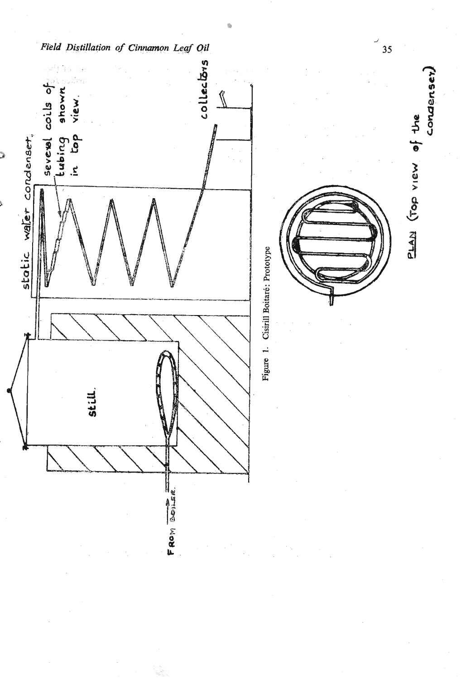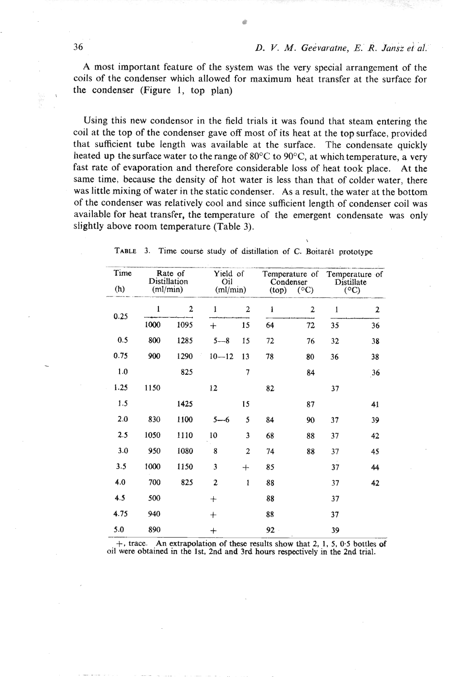A most important feature of the system was the very special arrangement of the coils of the condenser which allowed for maximum heat transfer at the surface for the condenser (Figure 1, top plan)

Using this new condensor in the field trials it was found that steam entering the coil at the top of the condenser gave off most of its heat at the top surface, provided that sufficient tube length was available at the surface. The condensate quickly heated up the surface water to the range of 80 $\degree$ C to 90 $\degree$ C, at which temperature, a very fast rate of evaporation and therefore considerable loss of heat took place. At the same time, because the density of hot water is less than that of colder water, there was little mixing of water in the static condenser. As a result, the water at the bottom of the condenser was relatively cool and since sufficient length of condenser coil was available for heat transfer, the temperature of the emergent condensate was only slightly above room temperature (Table 3).

| Time            | Rate of<br>Distillation |              | Yield of<br>Temperature of<br>Oil<br>Condenser |                         |                          | Temperature of<br>Distillate<br>$({}^{\circ}C)$ |              |    |
|-----------------|-------------------------|--------------|------------------------------------------------|-------------------------|--------------------------|-------------------------------------------------|--------------|----|
| (h)<br>(ml/min) |                         |              | (ml/min)                                       |                         | (top)<br>$({}^{\circ}C)$ |                                                 |              |    |
| 0.25            | 1                       | $\mathbf{2}$ | ĺ                                              | $\overline{2}$          | ı                        | $\mathbf{2}$                                    | $\mathbf{1}$ | 2  |
|                 | 1000                    | 1095         | $\ddag$                                        | 15                      | 64                       | 72                                              | 35           | 36 |
| 0.5             | 800                     | 1285         | $5 - 8$                                        | 15                      | 72                       | 76                                              | 32           | 38 |
| 0.75            | 900                     | 1290         | $10 - 12$                                      | 13                      | 78                       | 80                                              | 36           | 38 |
| 1.0             |                         | 825          |                                                | 7                       |                          | 84                                              |              | 36 |
| 1.25            | 1150                    |              | 12                                             |                         | 82                       |                                                 | 37           |    |
| 1.5             |                         | 1425         |                                                | 15                      |                          | 87                                              |              | 41 |
| 2.0             | 830                     | 1100         | $5 - 6$                                        | 5                       | 84                       | 90                                              | 37           | 39 |
| 2.5             | 1050                    | 1110         | 10                                             | $\overline{\mathbf{3}}$ | 68                       | 88                                              | 37           | 42 |
| 3.0             | 950                     | 1080         | 8                                              | $\overline{2}$          | 74                       | 88                                              | 37           | 45 |
| 3.5             | 1000                    | 1150         | 3                                              | $+$                     | 85                       |                                                 | 37           | 44 |
| 4.0             | 700                     | 825          | $\overline{2}$                                 | $\mathbf i$             | 88                       |                                                 | 37           | 42 |
| 4.5             | 500                     |              | $^{+}$                                         |                         | 88                       |                                                 | 37           |    |
| 4.75            | 940                     |              | $^{+}$                                         |                         | 88                       |                                                 | 37           |    |
| 5.0             | 890                     |              | $^{+}$                                         |                         | $92 -$                   |                                                 | 39           |    |

TABLE 3. Time course study of distillation of C. Boitarél prototype

\

+, trace. An extrapolation of these results show that 2, 1, 5, 0.5 bottles of oil were obtained in the 1st, 2nd and 3rd hours respectively in the 2nd trial.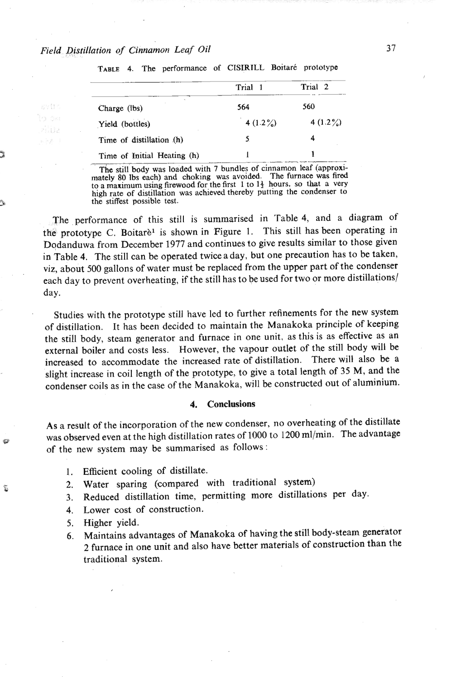| ition of Cinnamon Leaf Oil                             |             |             |  |  |  |  |
|--------------------------------------------------------|-------------|-------------|--|--|--|--|
| TABLE 4. The performance of CISIRILL Boitaré prototype |             |             |  |  |  |  |
|                                                        | Trial 1     | Trial 2     |  |  |  |  |
| Charge (lbs)                                           | 564         | 560         |  |  |  |  |
| Yield (bottles)                                        | 4 $(1.2\%)$ | 4 $(1.2\%)$ |  |  |  |  |
| Time of distillation (h)                               | 5           | 4           |  |  |  |  |
| Time of Initial Heating (h)                            |             |             |  |  |  |  |

The still body was loaded with 7 bundles of cinnamon leaf (approximately 80 lbs each) and choking was avoided. The furnace was fired to a maximum using firewood for the first 1 to  $1\frac{1}{2}$  hours, so that a very **high rate of distillation was achieved thereby putting the condenser to the stiffest possible test.** 

The performance of this still is summarised in 'Table 4, and a diagram of the prototype C. Boitarè<sup>1</sup> is shown in Figure 1. This still has been operating in Dodanduwa from December 1977 and continues to give results similar to those given in Table 4. The still can be operated twiceaday, but one precaution has to be taken, viz, about 500 gallons of water must be replaced from the upper part of the condenser each day to prevent overheating, if the still has to be used for two or more distillations/ day.

Studies with the prototype still have lcd to further refinements for the new system of distillation. It has been decided to maintain the Manakoka principle of keeping the still body, steam generator and furnace in one unit. as this is as effective as an external boiler and costs less. However, the vapour outlet of the still body will be increased to accommodate the increased rate of distillation. There will also be a slight increase in coil length of the prototype, to give a total length of 35 M, and the condenser coils as in the case of the Manakoka, will be constructed out of aluminium.

#### **4. Conclusions**

As a result of the incorporation of the new condenser, no overheating of the distillate was observed even at the high distillation rates of 1000 to 1200 ml/min. The advantage of the new system may be summarised as follows :

- 1. Efficient cooling of distillate.
- 2. Water sparing (compared with traditional system)
- 3. Reduced distillation time, permitting more distillations per day.
- 4. Lower cost of construction.
- 5. Higher yield.

ĩ

6. Maintains advantages of Manakoka of having the still body-steam generator 2 furnace in one unit and also have better materials of construction than the traditional system.